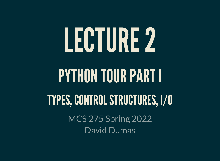# LECTURE2 PYTHON TOUR PART I TYPES, CONTROL STRUCTURES, I/O MCS 275 Spring 2022 David Dumas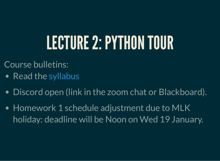## LECTURE 2: PYTHON TOUR

- Course bulletins:
- Read the [syllabus](https://dumas.io/teaching/2022/spring/mcs275/doc/mcs275sp22syllabus-public.pdf)
- Discord open (link in the zoom chat or Blackboard).
- Homework 1 schedule adjustment due to MLK holiday: deadline will be Noon on Wed 19 January.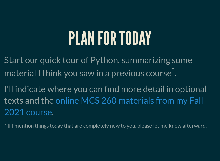#### PLAN FOR TODAY

Start our quick tour of Python, summarizing some material I think you saw in a previous course\*.

I'll indicate where you can find more detail in optional texts and the online MCS 260 [materials](https://dumas.io/teaching/2021/fall/mcs260/) from my Fall . 2021 course

\* If I mention things today that are completely new to you, please let me know afterward.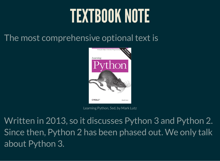### TEXTBOOK NOTE

#### The most comprehensive optional text is



Learning Python, 5ed, by Mark Lutz

Written in 2013, so it discusses Python 3 and Python 2. Since then, Python 2 has been phased out. We only talk about Python 3.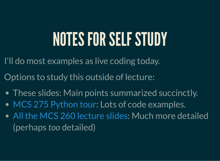## NOTES FOR SELF STUDY

I'll do most examples as live coding today.

Options to study this outside of lecture:

- These slides: Main points summarized succinctly.
- MCS 275 [Python](https://www.dumas.io/teaching/2022/spring/mcs275/nbview/samplecode/python_tour.html) tour: Lots of code examples.
- All the MCS 260 [lecture](https://www.dumas.io/teaching/2021/fall/mcs260/) slides: Much more detailed (perhaps *too* detailed)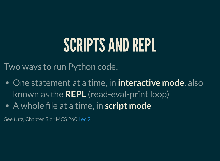### SCRIPTS AND REPL

Two ways to run Python code:

- One statement at a time, in **interactive mode**, also known as the **REPL** (read-eval-print loop)
- A whole file at a time, in **script mode**

See *Lutz*, Chapter 3 or MCS 260 [Lec](https://www.dumas.io/teaching/2021/fall/mcs260/slides/lecture2.html) 2.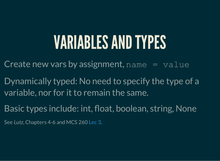#### VARIABLESANDTYPES

Create new vars by assignment,  $name = value$ 

Dynamically typed: No need to specify the type of a variable, nor for it to remain the same.

Basic types include: int, float, boolean, string, None

See *Lutz*, Chapters 4-6 and MCS 260 [Lec](https://www.dumas.io/teaching/2021/fall/mcs260/slides/lecture3.html) 3.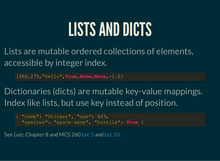#### LISTS AND DICTS

Lists are mutable ordered collections of elements, accessible by integer index.

[260,275,"hello",**True**,**None**,**None**,-1.5]

Dictionaries (dicts) are mutable key-value mappings. Index like lists, but use key instead of position.

{ "name": "Stinger", "age": 403, "species": "space wasp", "hostile": **True** }

See Lutz, Chapter 8 and MCS 260 [Lec](https://www.dumas.io/teaching/2021/fall/mcs260/slides/lecture10.html) 5 and Lec 10.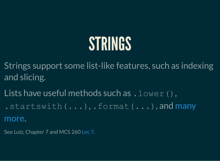## **STRINGS**

Strings support some list-like features, such as indexing and slicing.

Lists have useful methods such as  $l$  .  $lower()$ , [.startswith\(...\)](https://docs.python.org/3/library/stdtypes.html?highlight=lower#string-methods), .format(...), and many more.

See Lutz, Chapter 7 and MCS 260 [Lec](https://www.dumas.io/teaching/2021/fall/mcs260/slides/lecture7.html) 7.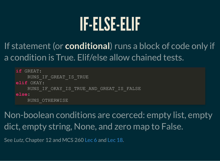#### IF-ELSE-ELIF

If statement (or **conditional**) runs a block of code only if a condition is True. Elif/else allow chained tests.

**if** GREAT: RUNS IF GREAT IS TRUE **elif** OKAY: RUNS IF OKAY IS TRUE AND GREAT IS FALSE **else**: RUNS\_OTHERWISE

Non-boolean conditions are coerced: empty list, empty dict, empty string, None, and zero map to False.

See Lutz, Chapter 12 and MCS 260 [Lec](https://www.dumas.io/teaching/2021/fall/mcs260/slides/lecture18.html) 6 and Lec 18.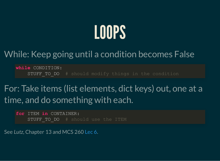# LOOPS

#### While: Keep going until a condition becomes False

**while** CONDITION: STUFF TO DO # should modify things in the condition

For: Take items (list elements, dict keys) out, one at a time, and do something with each.

**for** ITEM **in** CONTAINER: STUFF TO DO # should use the ITEM

See Lutz, Chapter 13 and MCS 260 [Lec](https://www.dumas.io/teaching/2021/fall/mcs260/slides/lecture6.html) 6.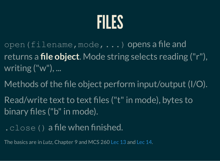

- open(filename,mode,...) opens a file and returns a **file object**. Mode string selects reading ("r"), writing ("w"), ...
- Methods of the file object perform input/output (I/O).
- Read/write text to text files ("t" in mode), bytes to binary files ("b" in mode).
- .close() a file when finished.

The basics are in *Lutz*, Chapter 9 and MCS 260 [Lec](https://www.dumas.io/teaching/2021/fall/mcs260/slides/lecture13.html) 13 and [Lec](https://www.dumas.io/teaching/2021/fall/mcs260/slides/lecture14.html) 14.